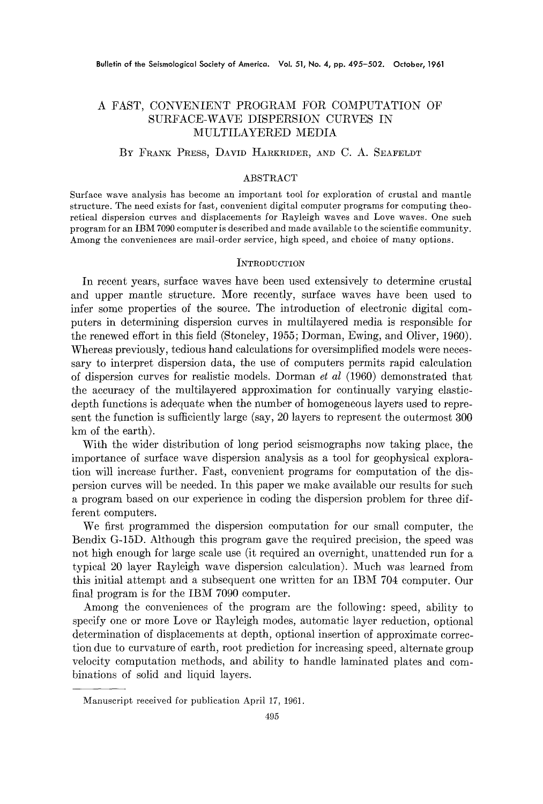# A FAST, CONVENIENT PROGRAM FOR COMPUTATION OF SURFACE-WAVE DISPERSION CURVES IN MULTILAYERED MEDIA

# BY FRANK PRESS, DAVID HARKRIDER, AND C. A. SEAFELDT

#### ABSTRACT

Surface wave analysis has become an important tool for exploration of crustal and mantle structure. The need exists for fast, convenient digital computer programs for computing theoretical dispersion curves and displacements for Rayleigh waves and Love waves. One such program for an IBM 7090 computer is described and made available to the scientific community. Among the conveniences are mail-order service, high speed, and choice of many options.

### **INTRODUCTION**

In recent years, surface waves have been used extensively to determine crustal and upper mantle structure. More recently, surface waves have been used to infer some properties of the source. The introduction of electronic digital computers in determining dispersion curves in multilayered media is responsible for the renewed effort in this field (Stoneley, 1955; Dorman, Ewing, and Oliver, 1960). Whereas previously, tedious hand calculations for oversimplified models were necessary to interpret dispersion data, the use of computers permits rapid calculation of dispersion curves for realistic models. Dorman *et al* (1960) demonstrated that the accuracy of the mnltilayered approximation for continually varying elasticdepth functions is adequate when the number of homogeneous layers used to represent the function is sufficiently large (say, 20 layers to represent the outermost 300 km of the earth).

With the wider distribution of long period seismographs now taking place, the importance of surface wave dispersion analysis as a tool for geophysical exploration will increase further. Fast, convenient programs for computation of the dispersion curves will be needed. In this paper we make available our results for such a program based on our experience in coding the dispersion problem for three different computers.

We first programmed the dispersion computation for our small computer, the Bendix G-15D. Although this program gave the required precision, the speed was not high enough for large scale use (it required an overnight, unattended run for a typical 20 layer Rayleigh wave dispersion calculation). Much was learned from this initial attempt and a subsequent one written for an IBM 704 computer. Our final program is for the IBM 7090 computer.

Among the conveniences of the program are the following: speed, ability to specify one or more Love or Rayleigh modes, automatic layer reduction, optional determination of displacements at depth, optional insertion of approximate correction due to curvature of earth, root prediction for increasing speed, alternate group velocity computation methods, and ability to handle laminated plates and combinations of solid and liquid layers.

Manuscript received for publication April 17, 1961.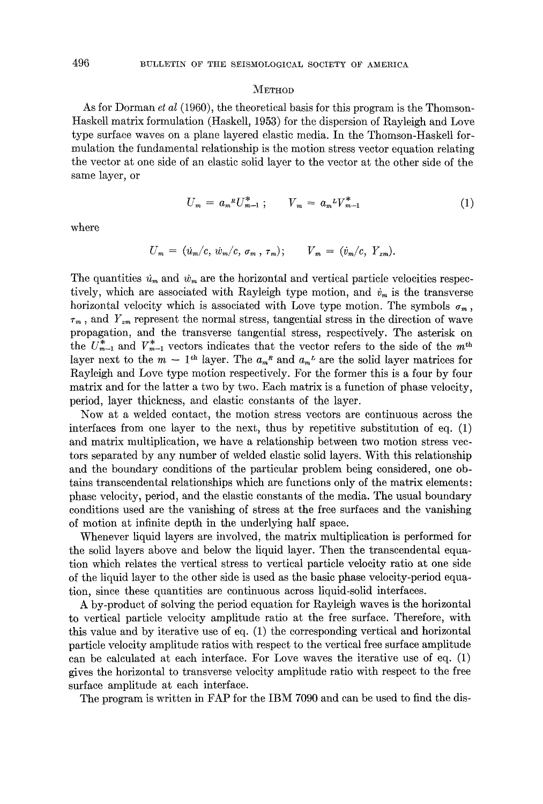#### $M$ ETHOD

As for Dorman *et al* (1960), the theoretical basis for this program is the Thomson-Haskell matrix formulation (Haskell, 1953) for the dispersion of Rayleigh and Love type surface waves on a plane layered elastic media. In the Thomson-Haskell formulation the fundamental relationship is the motion stress vector equation relating the vector at one side of an elastic solid layer to the vector at the other side of the same layer, or

$$
U_m = a_m{}^R U_{m-1}^* \; ; \qquad V_m = a_m{}^L V_{m-1}^* \tag{1}
$$

where

$$
U_m = (u_m/c, \, \dot{w}_m/c, \, \sigma_m, \, \tau_m); \qquad V_m = (\dot{v}_m/c, \, Y_{zm}).
$$

The quantities  $u_m$  and  $w_m$  are the horizontal and vertical particle velocities respectively, which are associated with Rayleigh type motion, and  $\dot{v}_m$  is the transverse horizontal velocity which is associated with Love type motion. The symbols  $\sigma_m$ ,  $\tau_m$ , and  $Y_{zm}$  represent the normal stress, tangential stress in the direction of wave propagation, and the transverse tangential stress, respectively. The asterisk on the  $U_{m-1}^*$  and  $V_{m-1}^*$  vectors indicates that the vector refers to the side of the  $m<sup>th</sup>$ layer next to the  $m - 1$ <sup>th</sup> layer. The  $a_m^R$  and  $a_m^L$  are the solid layer matrices for Rayleigh and Love type motion respectively. For the former this is a four by four matrix and for the latter a two by two. Each matrix is a function of phase velocity, period, layer thickness, and elastic constants of the layer.

Now at a welded contact, the motion stress vectors are continuous across the interfaces from one layer to the next, thus by repetitive substitution of eq. (1) and matrix multiplication, we have a relationship between two motion stress vectors separated by any number of welded elastic solid layers. With this relationship and the boundary conditions of the particular problem being considered, one obtains transcendental relationships which are functions only of the matrix elements: phase velocity, period, and the elastic constants of the media. The usual boundary conditions used are the vanishing of stress at the free surfaces and the vanishing of motion at infinite depth in the underlying half space.

Whenever liquid layers are involved, the matrix multiplication is performed for the solid layers above and below the liquid layer. Then the transcendental equation which relates the vertical stress to vertical particle velocity ratio at one side of the liquid layer to the other side is used as the basic phase velocity-period equation, since these quantities are continuous across liquid-solid interfaces.

A by-product of solving the period equation for Rayleigh waves is the horizontal to vertical particle velocity amplitude ratio at the free surface. Therefore, with this value and by iterative use of eq. (1) the corresponding vertical and horizontal particle velocity amplitude ratios with respect to the vertical free surface amplitude can be calculated at each interface. For Love waves the iterative use of eq. (1) gives the horizontal to transverse velocity amplitude ratio with respect to the free surface amplitude at each interface.

The program is written in FAP for the IBM 7090 and can be used to find the dis-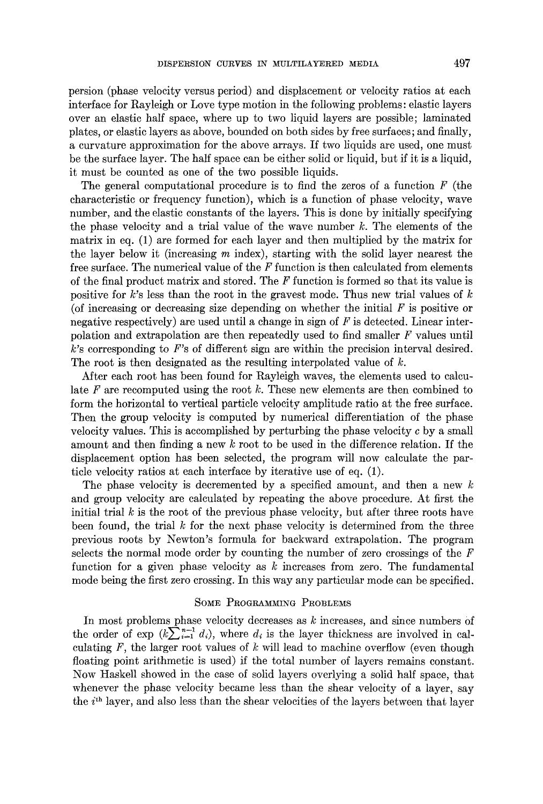persion (phase velocity versus period) and displacement or velocity ratios at each interface for Rayleigh or Love type motion in the following problems: elastic layers over an elastic half space, where up to two liquid layers are possible; laminated plates, or elastic layers as above, bounded on both sides by free surfaces; and finally, a curvature approximation for the above arrays. If two liquids are used, one must be the surface layer. The half space can be either solid or liquid, but if it is a liquid, it must be counted as one of the two possible liquids.

The general computational procedure is to find the zeros of a function  $F$  (the characteristic or frequency function), which is a function of phase velocity, wave number, and the elastic constants of the layers. This is done by initially specifying the phase velocity and a trial value of the wave number  $k$ . The elements of the matrix in eq. (1) are formed for each layer and then multiplied by the matrix for the layer below it (increasing  $m$  index), starting with the solid layer nearest the free surface. The numerical value of the  $F$  function is then calculated from elements of the final product matrix and stored. The  $F$  function is formed so that its value is positive for k's less than the root in the gravest mode. Thus new trial values of  $k$ (of increasing or decreasing size depending on whether the initial  $F$  is positive or negative respectively) are used until a change in sign of  $F$  is detected. Linear interpolation and extrapolation are then repeatedly used to find smaller F values until  $k$ 's corresponding to  $F$ 's of different sign are within the precision interval desired. The root is then designated as the resulting interpolated value of  $k$ .

After each root has been found for Rayleigh waves, the elements used to calculate  $F$  are recomputed using the root  $k$ . These new elements are then combined to form the horizontal to vertical particle velocity amplitude ratio at the free surface. Then the group velocity is computed by numerical differentiation of the phase velocity values. This is accomplished by perturbing the phase velocity  $c$  by a small amount and then finding a new  $k$  root to be used in the difference relation. If the displacement option has been selected, the program will now calculate the particle velocity ratios at each interface by iterative use of eq. (1).

The phase velocity is decremented by a specified amount, and then a new  $k$ and group velocity are calculated by repeating the above procedure. At first the initial trial  $k$  is the root of the previous phase velocity, but after three roots have been found, the trial  $k$  for the next phase velocity is determined from the three previous roots by Newton's formula for backward extrapolation. The program selects the normal mode order by counting the number of zero crossings of the  $\overline{F}$ function for a given phase velocity as  $k$  increases from zero. The fundamental mode being the first zero crossing. In this way any particular mode can be specified.

### SOME PROGRAMMING PROBLEMS

In most problems phase velocity decreases as  $k$  increases, and since numbers of the order of exp  $(k\sum_{i=1}^{n-1} d_i)$ , where  $d_i$  is the layer thickness are involved in calculating  $F$ , the larger root values of  $k$  will lead to machine overflow (even though floating point arithmetic is used) if the total number of layers remains constant. Now Haskell showed in the case of solid layers overlying a solid half space, that whenever the phase velocity became less than the shear velocity of a layer, say the  $i<sup>th</sup>$  layer, and also less than the shear velocities of the layers between that layer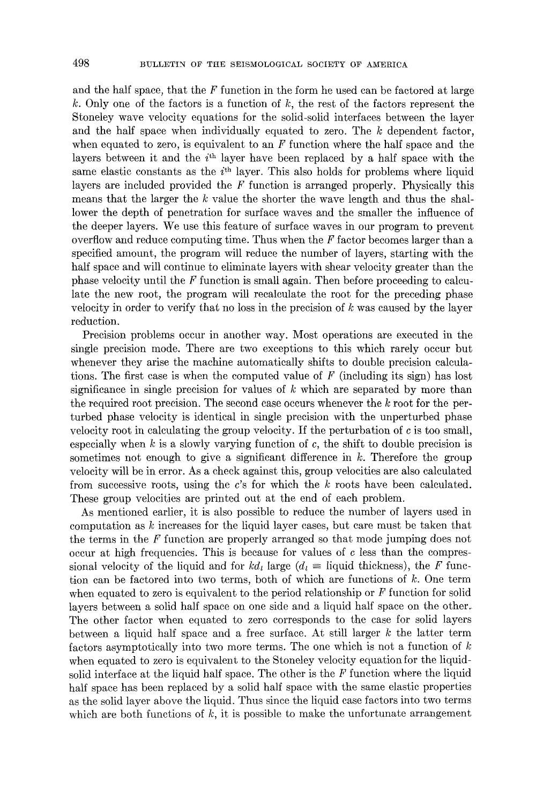and the half space, that the  $F$  function in the form he used can be factored at large k. Only one of the factors is a function of  $k$ , the rest of the factors represent the Stoneley wave velocity equations for the solid-solid interfaces between the layer and the half space when individually equated to zero. The  $k$  dependent factor, when equated to zero, is equivalent to an  $F$  function where the half space and the layers between it and the  $i<sup>th</sup>$  layer have been replaced by a half space with the same elastic constants as the  $i<sup>th</sup>$  layer. This also holds for problems where liquid layers are included provided the  $F$  function is arranged properly. Physically this means that the larger the  $k$  value the shorter the wave length and thus the shallower the depth of penetration for surface waves and the smaller the influence of the deeper layers. We use this feature of surface waves in our program to prevent overflow and reduce computing time. Thus when the  $F$  factor becomes larger than a specified amount, the program will reduce the number of layers, starting with the half space and will continue to eliminate layers with shear velocity greater than the phase velocity until the  $F$  function is small again. Then before proceeding to calculate the new root, the program will recalculate the root for the preceding phase velocity in order to verify that no loss in the precision of k was caused by the layer reduction.

Precision problems occur in another way. Most operations are executed in the single precision mode. There are two exceptions to this which rarely occur but whenever they arise the machine automatically shifts to double precision calculations. The first case is when the computed value of  $F$  (including its sign) has lost significance in single precision for values of  $k$  which are separated by more than the required root precision. The second ease occurs whenever the k root for the perturbed phase velocity is identical in single precision with the unperturbed phase velocity root in calculating the group velocity. If the perturbation of c is too small, especially when  $k$  is a slowly varying function of  $c$ , the shift to double precision is sometimes not enough to give a significant difference in  $k$ . Therefore the group velocity will be in error. As a check against this, group velocities are also calculated from successive roots, using the  $c$ 's for which the  $k$  roots have been calculated. These group velocities are printed out at the end of each problem.

As mentioned earlier, it is also possible to reduce the number of layers used in computation as  $k$  increases for the liquid layer cases, but care must be taken that the terms in the  $F$  function are properly arranged so that mode jumping does not occur at high frequencies. This is because for values of  $c$  less than the compressional velocity of the liquid and for  $k d_l$  large  $(d_l \equiv$  liquid thickness), the F function can be factored into two terms, both of which are functions of k. One term when equated to zero is equivalent to the period relationship or  $F$  function for solid layers between a solid half space on one side and a liquid half space on the other.\_ The other factor when equated to zero corresponds to the case for solid layers between a liquid half space and a free surface. At still larger  $k$  the latter term factors asymptotically into two more terms. The one which is not a function of k when equated to zero is equivalent to the Stoneley velocity equation for the liquidsolid interface at the liquid half space. The other is the F function where the liquid half space has been replaced by a solid half space with the same elastic properties as the solid layer above the liquid. Thus since the liquid ease factors into two terms which are both functions of  $k$ , it is possible to make the unfortunate arrangement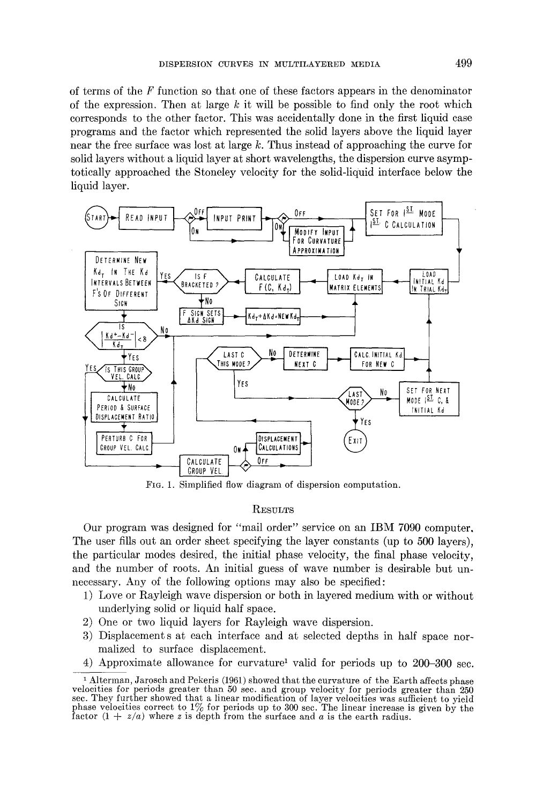of terms of the  $F$  function so that one of these factors appears in the denominator of the expression. Then at large  $k$  it will be possible to find only the root which corresponds to the other factor. This was accidentally done in the first liquid case programs and the factor which represented the solid layers above the liquid layer near the free surface was lost at large  $k$ . Thus instead of approaching the curve for solid layers without a liquid layer at short wavelengths, the dispersion curve asymptotically approached the Stoneley velocity for the solid-liquid interface below the liquid layer.



FIG. 1. Simplified flow diagram of dispersion computation.

# **RESULTS**

Our program was designed for "mail order" service on an IBM 7090 computer. The user fills out an order sheet specifying the layer constants (up to 500 layers), the particular modes desired, the initial phase velocity, the final phase velocity, and the number of roots. An initial guess of wave number is desirable but unnecessary. Any of the following options may also be specified:

- 1) Love or Rayleigh wave dispersion or both in layered medium with or without underlying solid or liquid half space.
- 2) One or two liquid layers for Rayleigh wave dispersion.
- 3) Displacement s at each interface and at selected depths in half space normalized to surface displacement.
- 4) Approximate allowance for curvature<sup>1</sup> valid for periods up to  $200-300$  sec.

i Alterman, Jarosch and Pekeris (1961) showed that the curvature of the Earth affects phase velocities for periods greater than 50 sec. and group velocity for periods greater than 250 sec. They further showed that a linear modification of layer velocities was sufficient to yield phase velocities correct to  $1\%$  for periods up to 300 sec. The linear increase is given by the factor  $(1 + z/a)$  where z is depth from the surface and a is the earth radius.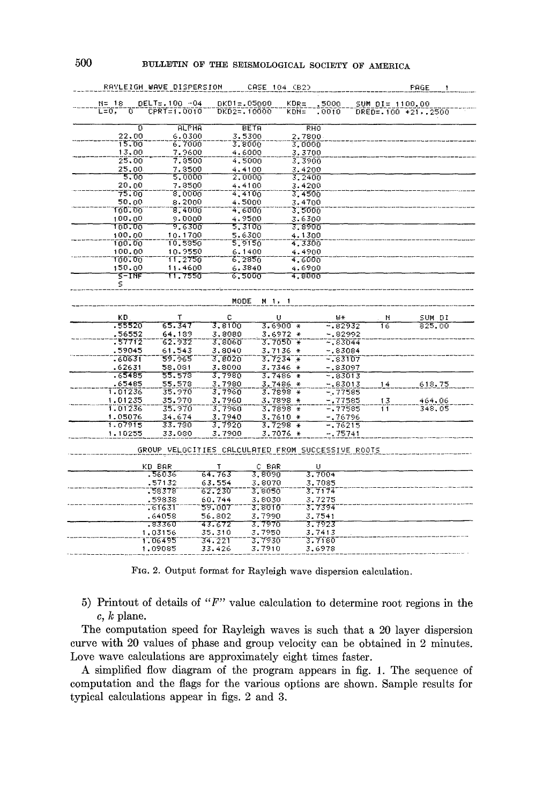|                         | RAVLEIGH WAVE DISPERSION                          |                 | CASE 104 (B2) |            |            |                     | PAGE   | 1 |
|-------------------------|---------------------------------------------------|-----------------|---------------|------------|------------|---------------------|--------|---|
| N= 18                   | DELT=.100 -04                                     | $DKD1 = .05000$ |               | KDR≑       | 5000       | SUM DI= 1100.00     |        |   |
| $L = 0$ ,<br>$\sigma^-$ | CPRT=1.0010                                       | DK02=.10000     |               | KDN=       | .0010      | DRED= 100 +21, 2500 |        |   |
| ō                       | <b>ALPHA</b>                                      |                 | <b>BETA</b>   | <b>RHO</b> |            |                     |        |   |
| 22.00                   | 6.0300                                            |                 | 3.5300        | 2.7800     |            |                     |        |   |
| 15.00                   | 6.7000                                            |                 | 3,8000        | 3.0000     |            |                     |        |   |
| 13,00                   | 7.9600                                            |                 | 4.6000        | 3,3700     |            |                     |        |   |
| 25.00                   | 7.3500                                            |                 | 4,5000        | 3.3900     |            |                     |        |   |
| 25,00                   | 7.3500                                            |                 | 4.4100        | 3.4200     |            |                     |        |   |
| 5.00                    | 5.0000                                            |                 | 2,0000        | 3,2400     |            |                     |        |   |
| 20.00                   | 7.8500                                            |                 | 4.4100        | 3.4200     |            |                     |        |   |
| 75.00                   | 8.0000                                            |                 | 4,4100        | 3,4500     |            |                     |        |   |
| 50.00                   | 8,2000                                            |                 | 4.5000        | 3.4700     |            |                     |        |   |
| 100.00                  | 8,4000                                            |                 | 4.6000        | 3.5000     |            |                     |        |   |
| 100.00                  | 9.0000                                            |                 | 4.9500        | 3.6300     |            |                     |        |   |
| 100.00                  | 9.6300                                            |                 | 5.3106        | उ. १९००    |            |                     |        |   |
| 100.00                  | 10.1700                                           |                 | 5.6300        | 4.1300     |            |                     |        |   |
| 100.00                  | 10.5350                                           |                 | 5 9156        | 4.3300     |            |                     |        |   |
| 100.00                  | 10.9550                                           |                 | 6.1400        | 4.4900     |            |                     |        |   |
| тიი. თი                 | 11.2750                                           |                 | 6,2850        | 4.6000     |            |                     |        |   |
| 150.00                  | 11.4600                                           |                 | 6.3840        | 4.6900     |            |                     |        |   |
| इन्साइ                  | 11.7550                                           |                 | ೯,5000        | រ ខេបក     |            |                     |        |   |
| 5                       |                                                   |                 |               |            |            |                     |        |   |
|                         |                                                   |                 |               |            |            |                     |        |   |
|                         |                                                   |                 | MODE M 1, 1   |            |            |                     |        |   |
| ΚD                      | т                                                 | с               | U             |            | IJ∗        | N                   | SUM DI |   |
| .55520                  | 65.347                                            | 3.8100          | $3.6900*$     |            | $-0.82932$ | 16                  | 825.00 |   |
| .56552                  | 64.139                                            | 3.8080          | 3.6972 *      |            | -.82992    |                     |        |   |
| -57712                  | 62.932                                            | 3.8060          | 3.7050 *      |            | - 83044    |                     |        |   |
| .59045                  | 61.543                                            | 3,8040          | $3.7136 +$    |            | -.83084    |                     |        |   |
| .60631                  | 59.965                                            | 3,8020          | $3.7234 +$    |            | -.83107    |                     |        |   |
| .62631                  | 58,031                                            | 3,8000          | $3.7346 +$    |            | -.83097    |                     |        |   |
| .65485                  | 55.578                                            | 3.7980          | $3.7486 +$    |            | $-83013$   |                     |        |   |
| .65485                  | 55.578                                            | 3,7980          | 3.7486 *      |            | -.83013    | 14                  | 618.75 |   |
| 1.01236                 | 35.970                                            | 3,7960          | $3.7898 +$    |            | - 77585    |                     |        |   |
| 1.01235                 | 35.970                                            | 3.7960          | 3.7898 *      |            | -,77585    | 13                  | 464,06 |   |
| 1.01236                 | 35.970                                            | 3,7960          | $3.7898*$     |            | -.77585    | Τĩ                  | 348,05 |   |
| 1.05076                 | 34.674                                            | 3.7940          | $3.7610 +$    |            | - 76796    |                     |        |   |
| 1.07915                 | 33.730                                            | 3,7920          | $3.7298*$     |            | - 76215    |                     |        |   |
| 1,10255                 | 33.080                                            | 3.7900          | $3.7076*$     |            | - 75741    |                     |        |   |
|                         |                                                   |                 |               |            |            |                     |        |   |
|                         | GROUP VELOCITIES CALCULATED FROM SUCCESSIVE ROOTS |                 |               |            |            |                     |        |   |
|                         | KD BAR                                            | т               | C BAR         |            | U          |                     |        |   |
|                         | .56036                                            | 64.763          | 3.8090        |            | 3.7004     |                     |        |   |
|                         | .57132                                            | 63.554          | 3.8070        |            | 3.7085     |                     |        |   |
|                         | 158378                                            | 62.230          | 3.8050        |            | 3.7174     |                     |        |   |
|                         | .59838                                            | 60.744          | 3.8030        |            | 3.7275     |                     |        |   |
|                         | . 61631                                           | 59.007          | 3. 2010       |            | 3.7394     |                     |        |   |
|                         | .64058                                            | 56.802          | 3.7990        |            | 3.7541     |                     |        |   |
|                         | -83360                                            | 43.672          | 3,7970        |            | 3.7923     |                     |        |   |
|                         | 1,03156                                           | 35.310          | 3.7950        |            | 3.7413     |                     |        |   |
|                         | 1.06495                                           | 34.221          | 3.7930        |            | 3.7180     |                     |        |   |
|                         | 1.09085                                           | 33.426          | 3.7910        |            | 3.6978     |                     |        |   |

FIG. 2. Output format for Rayleigh wave dispersion calculation.

5) Printout of details of " $F$ " value calculation to determine root regions in the  $c, k$  plane.

The computation speed for Rayleigh waves is such that a 20 layer dispersion curve with 20 values of phase and group velocity can be obtained in 2 minutes. Love wave calculations are approximately eight times faster.

A simplified flow diagram of the program appears in fig. 1. The sequence of computation and the flags for the various options are shown. Sample results for typical calculations appear in figs. 2 and 3.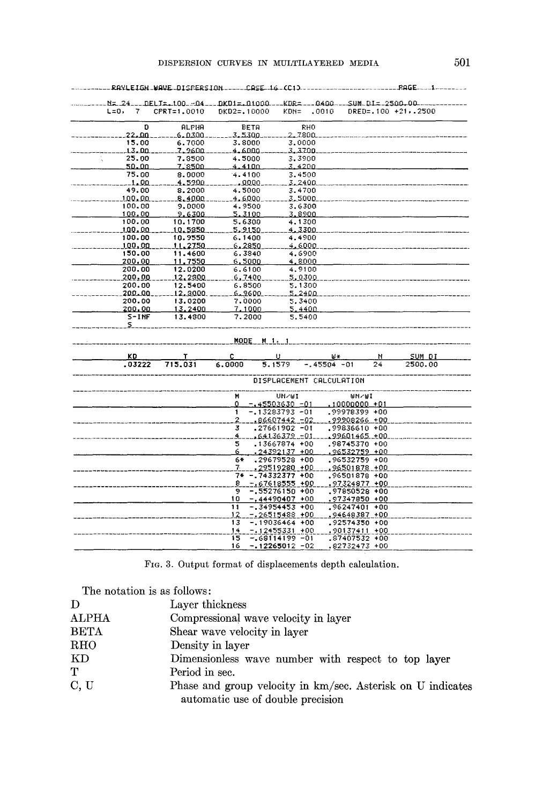|                   | RAYLEIGH WAVE DISPERSION ----- CASE 16-(C1) -----          |                  |                                                                              |                      |                                                                  | $PAGE$ $1$               |  |
|-------------------|------------------------------------------------------------|------------------|------------------------------------------------------------------------------|----------------------|------------------------------------------------------------------|--------------------------|--|
|                   | $N = 24 - 10E1T = 100 - 04 - 10K01 = 01000 - 1K0R = -0400$ |                  |                                                                              |                      | --SUM DI= 2500.00.                                               |                          |  |
| L=0,<br>7         | CPRT=1,0010                                                | DKD2=,10000      | KDN=                                                                         | .0010                |                                                                  | DRED= . 100 + 21, . 2500 |  |
| D                 | ALFHA                                                      | BETA             |                                                                              | RHO                  |                                                                  |                          |  |
| 22.00             | <u>.6. n300.</u>                                           | 3,5300.          | 2. 780a                                                                      |                      |                                                                  |                          |  |
| 15.00             | 6.7000                                                     | 3.8000           | 3.0000                                                                       |                      |                                                                  |                          |  |
| 13.00             | 7.2600                                                     | .4.6000          | 3.3700                                                                       |                      |                                                                  |                          |  |
| 25.00<br>50.00    | 7.8500                                                     | 4.5000<br>4.4100 | 3.3900<br>3.4200                                                             |                      |                                                                  |                          |  |
| 75.00             | <u>7.8500.</u>                                             | 4.4100           | 3.4500                                                                       |                      |                                                                  |                          |  |
| 1.00              | 8.0000<br>4.5900                                           | .0000.           | 3.2400                                                                       |                      |                                                                  |                          |  |
| 49.00             | 8.2000                                                     | 4.5000           | 3.4700                                                                       |                      |                                                                  |                          |  |
| 100.00            | 8.4000                                                     | 4.6000           | 3,5000                                                                       |                      |                                                                  |                          |  |
| 100.00            | 9.0000                                                     | 4.9500           | 3.6300                                                                       |                      |                                                                  |                          |  |
| 100.00            | 9.6300                                                     | 5.3100           | 3.8900                                                                       |                      |                                                                  |                          |  |
| 100.00            | 10.1700                                                    | 5.6300           | 4.1300                                                                       |                      |                                                                  |                          |  |
| t.00.00           | 10.5350                                                    | 5.9150           | 4.3300                                                                       |                      |                                                                  |                          |  |
| 100.00            | 10.9550                                                    | 6.1400           | 4.4900                                                                       |                      |                                                                  |                          |  |
| 100.00            | 11.2750                                                    | <u>s. 2850.</u>  | 4.6000                                                                       |                      |                                                                  |                          |  |
| 150.00            | 11.4600                                                    | 6.3840           | 4.6900                                                                       |                      |                                                                  |                          |  |
| 200.00            | 11,7550                                                    | 6,5000           | 4.8000                                                                       |                      |                                                                  |                          |  |
| 200.00            | 12.0200                                                    | 6.6100           | 4.9100                                                                       |                      |                                                                  |                          |  |
| 200.00            | 12,2300                                                    | g,7400           | 5.0300                                                                       |                      |                                                                  |                          |  |
| 200.00<br>200.00. | 12.5400<br>12,3000                                         | 6,8500<br>6.2600 | 5,1300<br>5.2400                                                             |                      |                                                                  |                          |  |
| 200.00            | 13.0200                                                    | 7.0000           | 5.3400                                                                       |                      |                                                                  |                          |  |
| 200.00            | <u>13.2400</u>                                             | <u>7.1000</u>    | 5.4400                                                                       |                      |                                                                  |                          |  |
| S-INF             | 13.4300                                                    | 7.2000           | 5.5400                                                                       |                      |                                                                  |                          |  |
| s.                |                                                            |                  |                                                                              |                      |                                                                  |                          |  |
|                   |                                                            | MODE M 1, 1      |                                                                              |                      |                                                                  |                          |  |
|                   |                                                            |                  |                                                                              |                      |                                                                  |                          |  |
| ΚD<br>.03222      | 715.031                                                    | c<br>6.0000      | u<br>5.1579                                                                  | ⊌¥<br>$-.45504 - 01$ | N<br>24                                                          | SUM DI<br>2500.00        |  |
|                   |                                                            |                  |                                                                              |                      |                                                                  |                          |  |
|                   |                                                            |                  | DISPLACEMENT CALCULATION                                                     |                      |                                                                  |                          |  |
|                   |                                                            | M                | UN/UI                                                                        |                      | WN∕WI                                                            |                          |  |
|                   |                                                            | 0                | <u>- 45503630 -01</u>                                                        |                      | $.10000000 + 01$                                                 |                          |  |
|                   |                                                            | 1                | $-13283793 - 01$                                                             |                      | .99978399 +00                                                    |                          |  |
|                   |                                                            | 2                | $.86607442 - 02$                                                             |                      | .99908266 +00                                                    |                          |  |
|                   |                                                            | 3                | .27661902 -01                                                                |                      | ,99836610 +00                                                    |                          |  |
|                   |                                                            | Á.               | <u> 164136379 -01</u>                                                        |                      | .99601465.+00                                                    |                          |  |
|                   |                                                            | 2<br>6           | .13667874 +00<br><u>.24392137 +00</u>                                        |                      | .98745370 +00<br>96532759 +00                                    |                          |  |
|                   |                                                            | 6*               |                                                                              |                      |                                                                  |                          |  |
|                   |                                                            |                  |                                                                              |                      |                                                                  |                          |  |
|                   |                                                            |                  |                                                                              |                      |                                                                  |                          |  |
|                   |                                                            | 8.               | <u>- 67618555 +00</u>                                                        |                      | 97324877 +00                                                     |                          |  |
|                   |                                                            | 9                | - 55276150 +00                                                               |                      | ,97850528 +00                                                    |                          |  |
|                   |                                                            | 10               | $-14490407 +00$                                                              |                      | .97347850 +00                                                    |                          |  |
|                   |                                                            | 11               | $-134954453 + 00$                                                            |                      | ,96247401 +00                                                    |                          |  |
|                   |                                                            |                  | - 26515488 +00                                                               |                      | .94648387 +00                                                    |                          |  |
|                   |                                                            |                  |                                                                              |                      |                                                                  |                          |  |
|                   |                                                            |                  |                                                                              |                      |                                                                  |                          |  |
|                   |                                                            | 14<br>15         | - 12455331 +00<br>- 68114199 -01                                             |                      | .90137411 +00<br>.87407532 +00                                   |                          |  |
|                   |                                                            | 7.<br>12<br>13   | .29679528 +00<br><u>.29519280 +00</u><br>7* - 74332377 +00<br>-.19036464 +00 |                      | .96532759 +00<br>.96501878 +00<br>,96501878 +00<br>.92574350 +00 |                          |  |

FIG. 3. Output format of displacements depth calculation.

| The notation is as follows: |                                                                                                  |
|-----------------------------|--------------------------------------------------------------------------------------------------|
| D                           | Layer thickness                                                                                  |
| ALPHA                       | Compressional wave velocity in layer                                                             |
| <b>BETA</b>                 | Shear wave velocity in layer                                                                     |
| RHO                         | Density in layer                                                                                 |
| KD                          | Dimensionless wave number with respect to top layer                                              |
| T                           | Period in sec.                                                                                   |
| C, U                        | Phase and group velocity in km/sec. Asterisk on U indicates<br>automatic use of double precision |